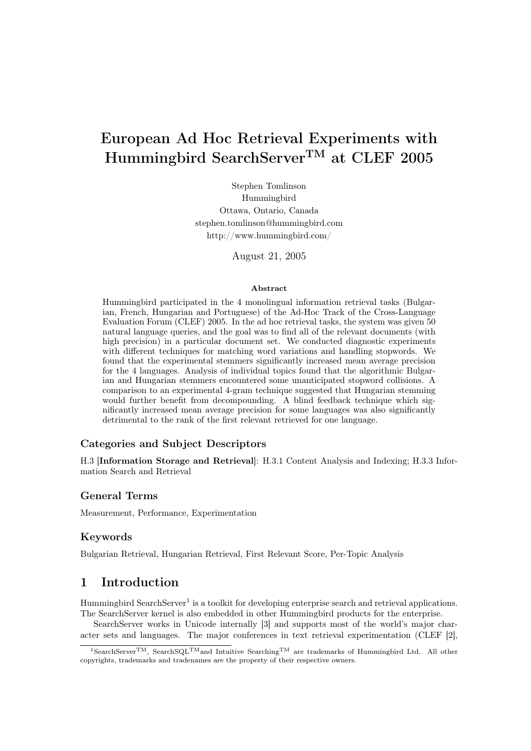# European Ad Hoc Retrieval Experiments with Hummingbird SearchServerTM at CLEF 2005

Stephen Tomlinson Hummingbird Ottawa, Ontario, Canada stephen.tomlinson@hummingbird.com http://www.hummingbird.com/

August 21, 2005

#### Abstract

Hummingbird participated in the 4 monolingual information retrieval tasks (Bulgarian, French, Hungarian and Portuguese) of the Ad-Hoc Track of the Cross-Language Evaluation Forum (CLEF) 2005. In the ad hoc retrieval tasks, the system was given 50 natural language queries, and the goal was to find all of the relevant documents (with high precision) in a particular document set. We conducted diagnostic experiments with different techniques for matching word variations and handling stopwords. We found that the experimental stemmers significantly increased mean average precision for the 4 languages. Analysis of individual topics found that the algorithmic Bulgarian and Hungarian stemmers encountered some unanticipated stopword collisions. A comparison to an experimental 4-gram technique suggested that Hungarian stemming would further benefit from decompounding. A blind feedback technique which significantly increased mean average precision for some languages was also significantly detrimental to the rank of the first relevant retrieved for one language.

### Categories and Subject Descriptors

H.3 [Information Storage and Retrieval]: H.3.1 Content Analysis and Indexing; H.3.3 Information Search and Retrieval

### General Terms

Measurement, Performance, Experimentation

### Keywords

Bulgarian Retrieval, Hungarian Retrieval, First Relevant Score, Per-Topic Analysis

# 1 Introduction

Hummingbird SearchServer<sup>1</sup> is a toolkit for developing enterprise search and retrieval applications. The SearchServer kernel is also embedded in other Hummingbird products for the enterprise.

SearchServer works in Unicode internally [3] and supports most of the world's major character sets and languages. The major conferences in text retrieval experimentation (CLEF [2],

<sup>1</sup>SearchServerTM, SearchSQLTMand Intuitive SearchingTM are trademarks of Hummingbird Ltd. All other copyrights, trademarks and tradenames are the property of their respective owners.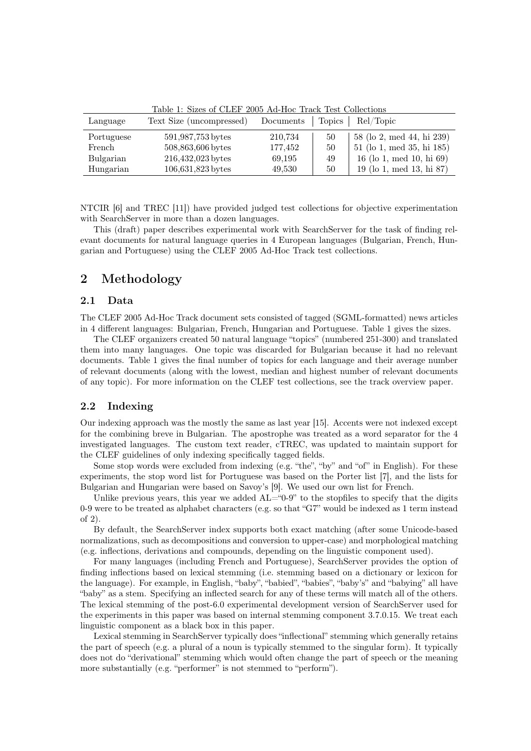| Language   | Text Size (uncompressed) | Documents |    | Topics   Rel/Topic          |
|------------|--------------------------|-----------|----|-----------------------------|
| Portuguese | 591,987,753 bytes        | 210,734   | 50 | 58 (lo 2, med 44, hi 239)   |
| French     | 508,863,606 bytes        | 177,452   | 50 | 51 (lo 1, med 35, hi 185)   |
| Bulgarian  | 216,432,023 bytes        | 69,195    | 49 | 16 (lo 1, med 10, hi $69$ ) |
| Hungarian  | 106,631,823 bytes        | 49,530    | 50 | 19 (lo 1, med 13, hi 87)    |

Table 1: Sizes of CLEF 2005 Ad-Hoc Track Test Collections

NTCIR [6] and TREC [11]) have provided judged test collections for objective experimentation with SearchServer in more than a dozen languages.

This (draft) paper describes experimental work with SearchServer for the task of finding relevant documents for natural language queries in 4 European languages (Bulgarian, French, Hungarian and Portuguese) using the CLEF 2005 Ad-Hoc Track test collections.

# 2 Methodology

#### 2.1 Data

The CLEF 2005 Ad-Hoc Track document sets consisted of tagged (SGML-formatted) news articles in 4 different languages: Bulgarian, French, Hungarian and Portuguese. Table 1 gives the sizes.

The CLEF organizers created 50 natural language "topics" (numbered 251-300) and translated them into many languages. One topic was discarded for Bulgarian because it had no relevant documents. Table 1 gives the final number of topics for each language and their average number of relevant documents (along with the lowest, median and highest number of relevant documents of any topic). For more information on the CLEF test collections, see the track overview paper.

### 2.2 Indexing

Our indexing approach was the mostly the same as last year [15]. Accents were not indexed except for the combining breve in Bulgarian. The apostrophe was treated as a word separator for the 4 investigated languages. The custom text reader, cTREC, was updated to maintain support for the CLEF guidelines of only indexing specifically tagged fields.

Some stop words were excluded from indexing (e.g. "the", "by" and "of" in English). For these experiments, the stop word list for Portuguese was based on the Porter list [7], and the lists for Bulgarian and Hungarian were based on Savoy's [9]. We used our own list for French.

Unlike previous years, this year we added  $AL = 0.9$ " to the stopfiles to specify that the digits 0-9 were to be treated as alphabet characters (e.g. so that "G7" would be indexed as 1 term instead of 2).

By default, the SearchServer index supports both exact matching (after some Unicode-based normalizations, such as decompositions and conversion to upper-case) and morphological matching (e.g. inflections, derivations and compounds, depending on the linguistic component used).

For many languages (including French and Portuguese), SearchServer provides the option of finding inflections based on lexical stemming (i.e. stemming based on a dictionary or lexicon for the language). For example, in English, "baby", "babied", "babies", "baby's" and "babying" all have "baby" as a stem. Specifying an inflected search for any of these terms will match all of the others. The lexical stemming of the post-6.0 experimental development version of SearchServer used for the experiments in this paper was based on internal stemming component 3.7.0.15. We treat each linguistic component as a black box in this paper.

Lexical stemming in SearchServer typically does "inflectional" stemming which generally retains the part of speech (e.g. a plural of a noun is typically stemmed to the singular form). It typically does not do "derivational" stemming which would often change the part of speech or the meaning more substantially (e.g. "performer" is not stemmed to "perform").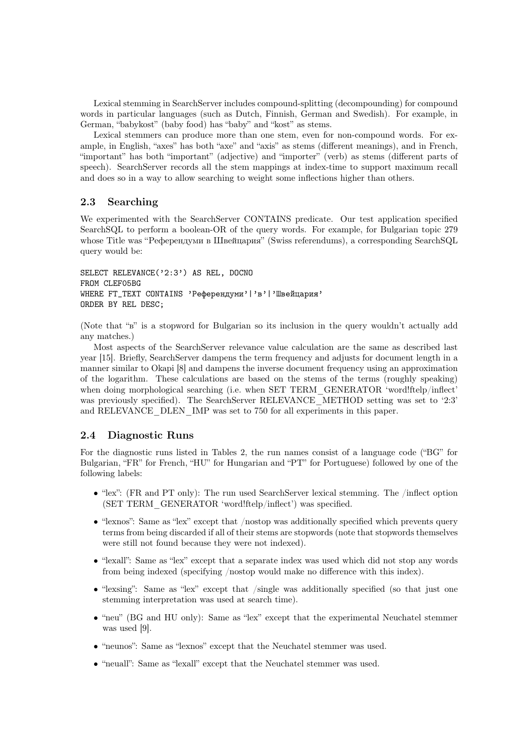Lexical stemming in SearchServer includes compound-splitting (decompounding) for compound words in particular languages (such as Dutch, Finnish, German and Swedish). For example, in German, "babykost" (baby food) has "baby" and "kost" as stems.

Lexical stemmers can produce more than one stem, even for non-compound words. For example, in English, "axes" has both "axe" and "axis" as stems (different meanings), and in French, "important" has both "important" (adjective) and "importer" (verb) as stems (different parts of speech). SearchServer records all the stem mappings at index-time to support maximum recall and does so in a way to allow searching to weight some inflections higher than others.

### 2.3 Searching

We experimented with the SearchServer CONTAINS predicate. Our test application specified SearchSQL to perform a boolean-OR of the query words. For example, for Bulgarian topic 279 whose Title was "Референдуми в Швейцария" (Swiss referendums), a corresponding SearchSQL query would be:

```
SELECT RELEVANCE('2:3') AS REL, DOCNO
FROM CLEF05BG
WHERE FT_TEXT CONTAINS 'Референдуми' | 'в' | 'Швейцария'
ORDER BY REL DESC;
```
(Note that "в" is a stopword for Bulgarian so its inclusion in the query wouldn't actually add any matches.)

Most aspects of the SearchServer relevance value calculation are the same as described last year [15]. Briefly, SearchServer dampens the term frequency and adjusts for document length in a manner similar to Okapi [8] and dampens the inverse document frequency using an approximation of the logarithm. These calculations are based on the stems of the terms (roughly speaking) when doing morphological searching (i.e. when SET TERM GENERATOR 'word!ftelp/inflect' was previously specified). The SearchServer RELEVANCE\_METHOD setting was set to '2:3' and RELEVANCE\_DLEN\_IMP was set to 750 for all experiments in this paper.

### 2.4 Diagnostic Runs

For the diagnostic runs listed in Tables 2, the run names consist of a language code ("BG" for Bulgarian, "FR" for French, "HU" for Hungarian and "PT" for Portuguese) followed by one of the following labels:

- "lex": (FR and PT only): The run used SearchServer lexical stemming. The /inflect option (SET TERM\_GENERATOR 'word!ftelp/inflect') was specified.
- "lexnos": Same as "lex" except that /nostop was additionally specified which prevents query terms from being discarded if all of their stems are stopwords (note that stopwords themselves were still not found because they were not indexed).
- "lexall": Same as "lex" except that a separate index was used which did not stop any words from being indexed (specifying /nostop would make no difference with this index).
- "lexsing": Same as "lex" except that /single was additionally specified (so that just one stemming interpretation was used at search time).
- "neu" (BG and HU only): Same as "lex" except that the experimental Neuchatel stemmer was used [9].
- "neunos": Same as "lexnos" except that the Neuchatel stemmer was used.
- "neuall": Same as "lexall" except that the Neuchatel stemmer was used.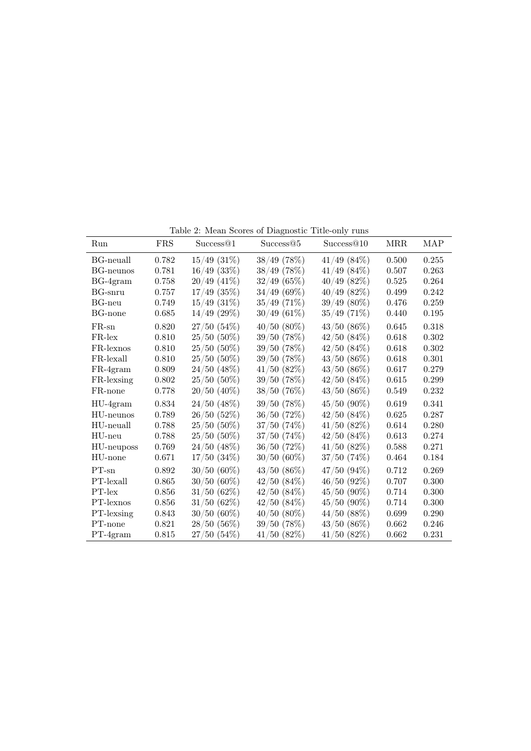| Run        | <b>FRS</b> | Success@1        | Success@5        | Success@10       | MRR   | <b>MAP</b> |
|------------|------------|------------------|------------------|------------------|-------|------------|
| BG-neuall  | 0.782      | $15/49$ $(31\%)$ | $38/49$ (78%)    | $41/49$ $(84\%)$ | 0.500 | 0.255      |
| BG-neunos  | 0.781      | $16/49$ (33%)    | $38/49$ (78%)    | $41/49$ $(84\%)$ | 0.507 | 0.263      |
| $BG-4gram$ | 0.758      | $20/49$ (41%)    | 32/49(65%)       | $40/49$ $(82\%)$ | 0.525 | 0.264      |
| BG-snru    | 0.757      | $17/49$ (35%)    | 34/49(69%)       | $40/49$ (82%)    | 0.499 | 0.242      |
| $BG$ -neu  | 0.749      | $15/49$ $(31\%)$ | $35/49$ (71%)    | $39/49(80\%)$    | 0.476 | 0.259      |
| BG-none    | 0.685      | $14/49$ (29%)    | $30/49(61\%)$    | 35/49(71%)       | 0.440 | 0.195      |
| $FR$ -sn   | 0.820      | 27/50(54%)       | $40/50(80\%)$    | $43/50(86\%)$    | 0.645 | 0.318      |
| $FR$ -lex  | 0.810      | $25/50(50\%)$    | $39/50$ (78%)    | 42/50(84%)       | 0.618 | 0.302      |
| FR-lexnos  | 0.810      | $25/50(50\%)$    | $39/50$ (78%)    | $42/50$ $(84\%)$ | 0.618 | 0.302      |
| FR-lexall  | 0.810      | $25/50(50\%)$    | $39/50$ (78%)    | 43/50(86%)       | 0.618 | 0.301      |
| $FR-4gram$ | 0.809      | $24/50$ $(48\%)$ | $41/50$ $(82\%)$ | 43/50(86%)       | 0.617 | 0.279      |
| FR-lexsing | 0.802      | $25/50(50\%)$    | 39/50(78%)       | 42/50(84%)       | 0.615 | 0.299      |
| FR-none    | 0.778      | $20/50$ (40%)    | $38/50$ (76%)    | $43/50(86\%)$    | 0.549 | 0.232      |
| $HU-4gram$ | 0.834      | 24/50 (48%)      | 39/50 (78%)      | $45/50$ (90%)    | 0.619 | 0.341      |
| HU-neunos  | 0.789      | 26/50(52%)       | $36/50$ (72%)    | 42/50(84%)       | 0.625 | 0.287      |
| HU-neuall  | 0.788      | $25/50(50\%)$    | $37/50$ $(74\%)$ | $41/50$ $(82\%)$ | 0.614 | 0.280      |
| $HU$ -neu  | 0.788      | $25/50(50\%)$    | 37/50(74%)       | 42/50(84%)       | 0.613 | 0.274      |
| HU-neuposs | 0.769      | $24/50$ (48%)    | 36/50(72%)       | 41/50(82%)       | 0.588 | 0.271      |
| HU-none    | 0.671      | $17/50$ $(34\%)$ | $30/50(60\%)$    | 37/50(74%)       | 0.464 | 0.184      |
| $PT$ -sn   | 0.892      | $30/50(60\%)$    | $43/50(86\%)$    | $47/50(94\%)$    | 0.712 | 0.269      |
| PT-lexall  | 0.865      | $30/50(60\%)$    | $42/50$ $(84\%)$ | 46/50(92%)       | 0.707 | 0.300      |
| $PT$ -lex  | 0.856      | 31/50(62%)       | 42/50(84%)       | $45/50(90\%)$    | 0.714 | 0.300      |
| PT-lexnos  | 0.856      | $31/50(62\%)$    | 42/50(84%)       | $45/50(90\%)$    | 0.714 | 0.300      |
| PT-lexsing | 0.843      | $30/50(60\%)$    | $40/50(80\%)$    | $44/50$ $(88\%)$ | 0.699 | 0.290      |
| PT-none    | 0.821      | $28/50(56\%)$    | $39/50$ (78%)    | $43/50(86\%)$    | 0.662 | 0.246      |
| $PT-4gram$ | 0.815      | $27/50(54\%)$    | $41/50$ $(82\%)$ | $41/50$ (82%)    | 0.662 | 0.231      |

Table 2: Mean Scores of Diagnostic Title-only runs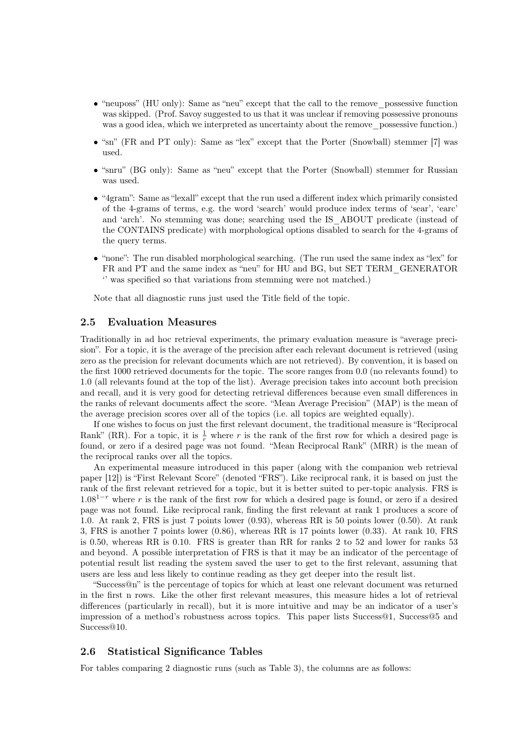- "neuposs" (HU only): Same as "neu" except that the call to the remove\_possessive function was skipped. (Prof. Savoy suggested to us that it was unclear if removing possessive pronouns was a good idea, which we interpreted as uncertainty about the remove possessive function.)
- "sn" (FR and PT only): Same as "lex" except that the Porter (Snowball) stemmer [7] was used.
- "snru" (BG only): Same as "neu" except that the Porter (Snowball) stemmer for Russian was used.
- "4gram": Same as "lexall" except that the run used a different index which primarily consisted of the 4-grams of terms, e.g. the word 'search' would produce index terms of 'sear', 'earc' and 'arch'. No stemming was done; searching used the IS\_ABOUT predicate (instead of the CONTAINS predicate) with morphological options disabled to search for the 4-grams of the query terms.
- "none": The run disabled morphological searching. (The run used the same index as "lex" for FR and PT and the same index as "neu" for HU and BG, but SET TERM\_GENERATOR '' was specified so that variations from stemming were not matched.)

Note that all diagnostic runs just used the Title field of the topic.

#### 2.5 Evaluation Measures

Traditionally in ad hoc retrieval experiments, the primary evaluation measure is "average precision". For a topic, it is the average of the precision after each relevant document is retrieved (using zero as the precision for relevant documents which are not retrieved). By convention, it is based on the first 1000 retrieved documents for the topic. The score ranges from 0.0 (no relevants found) to 1.0 (all relevants found at the top of the list). Average precision takes into account both precision and recall, and it is very good for detecting retrieval differences because even small differences in the ranks of relevant documents affect the score. "Mean Average Precision" (MAP) is the mean of the average precision scores over all of the topics (i.e. all topics are weighted equally).

If one wishes to focus on just the first relevant document, the traditional measure is "Reciprocal Rank" (RR). For a topic, it is  $\frac{1}{r}$  where r is the rank of the first row for which a desired page is found, or zero if a desired page was not found. "Mean Reciprocal Rank" (MRR) is the mean of the reciprocal ranks over all the topics.

An experimental measure introduced in this paper (along with the companion web retrieval paper [12]) is "First Relevant Score" (denoted "FRS"). Like reciprocal rank, it is based on just the rank of the first relevant retrieved for a topic, but it is better suited to per-topic analysis. FRS is  $1.08<sup>1-r</sup>$  where r is the rank of the first row for which a desired page is found, or zero if a desired page was not found. Like reciprocal rank, finding the first relevant at rank 1 produces a score of 1.0. At rank 2, FRS is just 7 points lower (0.93), whereas RR is 50 points lower (0.50). At rank 3, FRS is another 7 points lower (0.86), whereas RR is 17 points lower (0.33). At rank 10, FRS is 0.50, whereas RR is 0.10. FRS is greater than RR for ranks 2 to 52 and lower for ranks 53 and beyond. A possible interpretation of FRS is that it may be an indicator of the percentage of potential result list reading the system saved the user to get to the first relevant, assuming that users are less and less likely to continue reading as they get deeper into the result list.

"Success@n" is the percentage of topics for which at least one relevant document was returned in the first n rows. Like the other first relevant measures, this measure hides a lot of retrieval differences (particularly in recall), but it is more intuitive and may be an indicator of a user's impression of a method's robustness across topics. This paper lists Success@1, Success@5 and Success<sup>@10.</sup>

### 2.6 Statistical Significance Tables

For tables comparing 2 diagnostic runs (such as Table 3), the columns are as follows: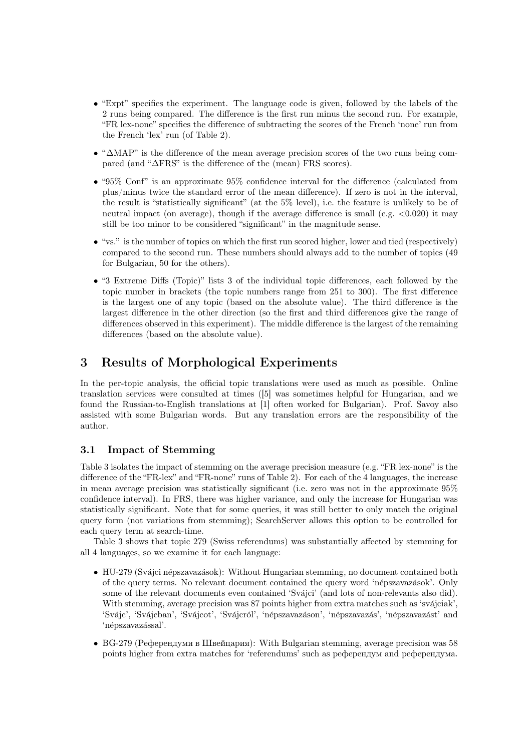- "Expt" specifies the experiment. The language code is given, followed by the labels of the 2 runs being compared. The difference is the first run minus the second run. For example, "FR lex-none" specifies the difference of subtracting the scores of the French 'none' run from the French 'lex' run (of Table 2).
- "∆MAP" is the difference of the mean average precision scores of the two runs being compared (and "∆FRS" is the difference of the (mean) FRS scores).
- "95% Conf" is an approximate  $95\%$  confidence interval for the difference (calculated from plus/minus twice the standard error of the mean difference). If zero is not in the interval, the result is "statistically significant" (at the 5% level), i.e. the feature is unlikely to be of neutral impact (on average), though if the average difference is small (e.g.  $\lt 0.020$ ) it may still be too minor to be considered "significant" in the magnitude sense.
- "vs." is the number of topics on which the first run scored higher, lower and tied (respectively) compared to the second run. These numbers should always add to the number of topics (49 for Bulgarian, 50 for the others).
- "3 Extreme Diffs (Topic)" lists 3 of the individual topic differences, each followed by the topic number in brackets (the topic numbers range from 251 to 300). The first difference is the largest one of any topic (based on the absolute value). The third difference is the largest difference in the other direction (so the first and third differences give the range of differences observed in this experiment). The middle difference is the largest of the remaining differences (based on the absolute value).

# 3 Results of Morphological Experiments

In the per-topic analysis, the official topic translations were used as much as possible. Online translation services were consulted at times ([5] was sometimes helpful for Hungarian, and we found the Russian-to-English translations at [1] often worked for Bulgarian). Prof. Savoy also assisted with some Bulgarian words. But any translation errors are the responsibility of the author.

### 3.1 Impact of Stemming

Table 3 isolates the impact of stemming on the average precision measure (e.g. "FR lex-none" is the difference of the "FR-lex" and "FR-none" runs of Table 2). For each of the 4 languages, the increase in mean average precision was statistically significant (i.e. zero was not in the approximate 95% confidence interval). In FRS, there was higher variance, and only the increase for Hungarian was statistically significant. Note that for some queries, it was still better to only match the original query form (not variations from stemming); SearchServer allows this option to be controlled for each query term at search-time.

Table 3 shows that topic 279 (Swiss referendums) was substantially affected by stemming for all 4 languages, so we examine it for each language:

- HU-279 (Svájci népszavazások): Without Hungarian stemming, no document contained both of the query terms. No relevant document contained the query word 'népszavazások'. Only some of the relevant documents even contained 'Sváici' (and lots of non-relevants also did). With stemming, average precision was 87 points higher from extra matches such as 'svájciak', 'Svájc', 'Svájcban', 'Svájcot', 'Svájcról', 'népszavazáson', 'népszavazás', 'népszavazást' and 'népszavazással'.
- BG-279 (Референдуми в Швейцария): With Bulgarian stemming, average precision was 58 points higher from extra matches for 'referendums' such as референдум and референдума.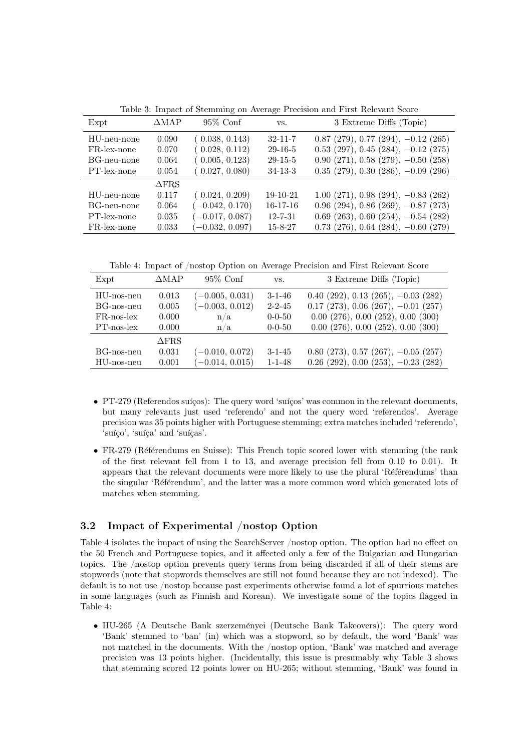| Expt        | $\triangle MAP$ | $95\%$ Conf       | VS.            | 3 Extreme Diffs (Topic)                           |
|-------------|-----------------|-------------------|----------------|---------------------------------------------------|
| HU-neu-none | 0.090           | (0.038, 0.143)    | $32 - 11 - 7$  | $0.87$ (279), 0.77 (294), $-0.12$ (265)           |
| FR-lex-none | 0.070           | (0.028, 0.112)    | $29 - 16 - 5$  | $0.53$ (297), $0.45$ (284), $-0.12$ (275)         |
| BG-neu-none | 0.064           | (0.005, 0.123)    | $29 - 15 - 5$  | $0.90$ (271), $0.58$ (279), $-0.50$ (258)         |
| PT-lex-none | 0.054           | (0.027, 0.080)    | $34-13-3$      | $0.35$ (279), $0.30$ (286), $-0.09$ (296)         |
|             | $\Delta$ FRS    |                   |                |                                                   |
| HU-neu-none | 0.117           | (0.024, 0.209)    | 19-10-21       | $1.00$ $(271)$ , $0.98$ $(294)$ , $-0.83$ $(262)$ |
| BG-neu-none | 0.064           | $(-0.042, 0.170)$ | $16 - 17 - 16$ | $0.96$ (294), $0.86$ (269), $-0.87$ (273)         |
| PT-lex-none | 0.035           | $(-0.017, 0.087)$ | $12 - 7 - 31$  | $0.69$ (263), 0.60 (254), $-0.54$ (282)           |
| FR-lex-none | 0.033           | $(-0.032, 0.097)$ | $15 - 8 - 27$  | $0.73$ (276), 0.64 (284), $-0.60$ (279)           |

Table 3: Impact of Stemming on Average Precision and First Relevant Score

Table 4: Impact of /nostop Option on Average Precision and First Relevant Score

| Expt                                                       | $\triangle MAP$                  | $95\%$ Conf                                          | VS.                                                          | 3 Extreme Diffs (Topic)                                                                                                                                                                        |
|------------------------------------------------------------|----------------------------------|------------------------------------------------------|--------------------------------------------------------------|------------------------------------------------------------------------------------------------------------------------------------------------------------------------------------------------|
| HU-nos-neu<br>BG-nos-neu<br>$FR$ -nos-lex<br>$PT$ -nos-lex | 0.013<br>0.005<br>0.000<br>0.000 | $(-0.005, 0.031)$<br>$(-0.003, 0.012)$<br>n/a<br>n/a | $3 - 1 - 46$<br>$2 - 2 - 45$<br>$0 - 0 - 50$<br>$0 - 0 - 50$ | $0.40$ (292), $0.13$ (265), $-0.03$ (282)<br>$0.17$ (273), $0.06$ (267), $-0.01$ (257)<br>$0.00$ $(276)$ , $0.00$ $(252)$ , $0.00$ $(300)$<br>$0.00$ $(276)$ , $0.00$ $(252)$ , $0.00$ $(300)$ |
| BG-nos-neu<br>HU-nos-neu                                   | $\Delta$ FRS<br>0.031<br>0.001   | $(-0.010, 0.072)$<br>$(-0.014, 0.015)$               | $3 - 1 - 45$<br>$1 - 1 - 48$                                 | $0.80$ (273), $0.57$ (267), $-0.05$ (257)<br>$0.26$ (292), $0.00$ (253), $-0.23$ (282)                                                                                                         |

- PT-279 (Referendos suíços): The query word 'suíços' was common in the relevant documents, but many relevants just used 'referendo' and not the query word 'referendos'. Average precision was 35 points higher with Portuguese stemming; extra matches included 'referendo', 'suíço', 'suíça' and 'suíças'.
- FR-279 (Référendums en Suisse): This French topic scored lower with stemming (the rank of the first relevant fell from 1 to 13, and average precision fell from 0.10 to 0.01). It appears that the relevant documents were more likely to use the plural 'Référendums' than the singular 'Référendum', and the latter was a more common word which generated lots of matches when stemming.

# 3.2 Impact of Experimental /nostop Option

Table 4 isolates the impact of using the SearchServer /nostop option. The option had no effect on the 50 French and Portuguese topics, and it affected only a few of the Bulgarian and Hungarian topics. The /nostop option prevents query terms from being discarded if all of their stems are stopwords (note that stopwords themselves are still not found because they are not indexed). The default is to not use /nostop because past experiments otherwise found a lot of spurrious matches in some languages (such as Finnish and Korean). We investigate some of the topics flagged in Table 4:

• HU-265 (A Deutsche Bank szerzeményei (Deutsche Bank Takeovers)): The query word 'Bank' stemmed to 'ban' (in) which was a stopword, so by default, the word 'Bank' was not matched in the documents. With the /nostop option, 'Bank' was matched and average precision was 13 points higher. (Incidentally, this issue is presumably why Table 3 shows that stemming scored 12 points lower on HU-265; without stemming, 'Bank' was found in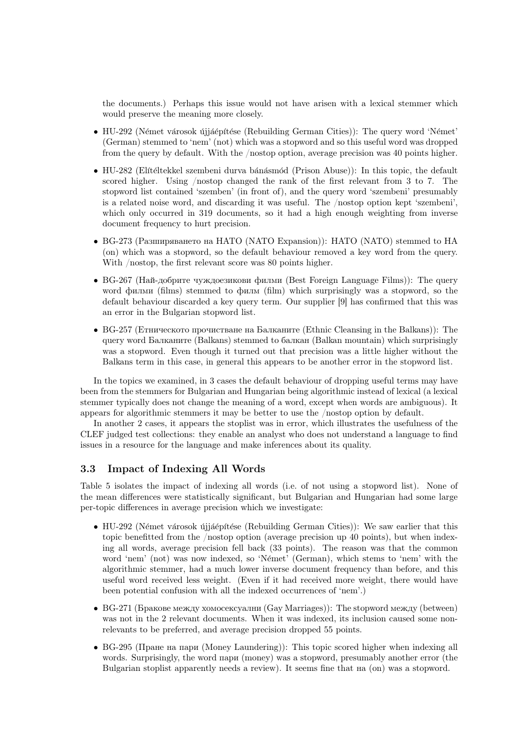the documents.) Perhaps this issue would not have arisen with a lexical stemmer which would preserve the meaning more closely.

- HU-292 (Német városok újjáépítése (Rebuilding German Cities)): The query word 'Német' (German) stemmed to 'nem' (not) which was a stopword and so this useful word was dropped from the query by default. With the /nostop option, average precision was 40 points higher.
- HU-282 (Elítéltekkel szembeni durva bánásmód (Prison Abuse)): In this topic, the default scored higher. Using /nostop changed the rank of the first relevant from 3 to 7. The stopword list contained 'szemben' (in front of), and the query word 'szembeni' presumably is a related noise word, and discarding it was useful. The /nostop option kept 'szembeni', which only occurred in 319 documents, so it had a high enough weighting from inverse document frequency to hurt precision.
- BG-273 (Разширяването на НАТО (NATO Expansion)): HATO (NATO) stemmed to HA (on) which was a stopword, so the default behaviour removed a key word from the query. With /nostop, the first relevant score was 80 points higher.
- BG-267 (Най-добрите чуждоезикови филми (Best Foreign Language Films)): The query word филми (films) stemmed to филм (film) which surprisingly was a stopword, so the default behaviour discarded a key query term. Our supplier [9] has confirmed that this was an error in the Bulgarian stopword list.
- BG-257 (Етническото прочистване на Балканите (Ethnic Cleansing in the Balkans)): The query word Балканите (Balkans) stemmed to балкан (Balkan mountain) which surprisingly was a stopword. Even though it turned out that precision was a little higher without the Balkans term in this case, in general this appears to be another error in the stopword list.

In the topics we examined, in 3 cases the default behaviour of dropping useful terms may have been from the stemmers for Bulgarian and Hungarian being algorithmic instead of lexical (a lexical stemmer typically does not change the meaning of a word, except when words are ambiguous). It appears for algorithmic stemmers it may be better to use the /nostop option by default.

In another 2 cases, it appears the stoplist was in error, which illustrates the usefulness of the CLEF judged test collections: they enable an analyst who does not understand a language to find issues in a resource for the language and make inferences about its quality.

### 3.3 Impact of Indexing All Words

Table 5 isolates the impact of indexing all words (i.e. of not using a stopword list). None of the mean differences were statistically significant, but Bulgarian and Hungarian had some large per-topic differences in average precision which we investigate:

- HU-292 (Német városok újjáépítése (Rebuilding German Cities)): We saw earlier that this topic benefitted from the /nostop option (average precision up 40 points), but when indexing all words, average precision fell back (33 points). The reason was that the common word 'nem' (not) was now indexed, so 'Német' (German), which stems to 'nem' with the algorithmic stemmer, had a much lower inverse document frequency than before, and this useful word received less weight. (Even if it had received more weight, there would have been potential confusion with all the indexed occurrences of 'nem'.)
- BG-271 (Бракове между хомосексуални (Gay Marriages)): The stopword между (between) was not in the 2 relevant documents. When it was indexed, its inclusion caused some nonrelevants to be preferred, and average precision dropped 55 points.
- BG-295 (Пране на пари (Money Laundering)): This topic scored higher when indexing all words. Surprisingly, the word пари (money) was a stopword, presumably another error (the Bulgarian stoplist apparently needs a review). It seems fine that  $\text{Ha}(on)$  was a stopword.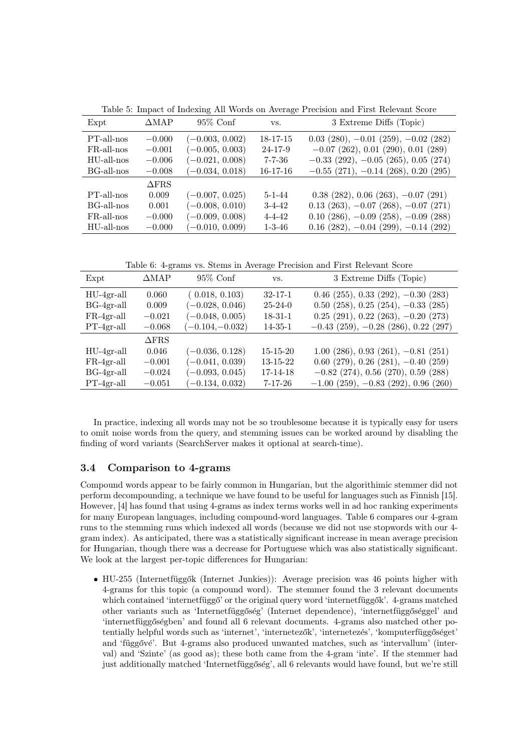| Expt          | $\triangle$ MAP | $95\%$ Conf       | VS.          | 3 Extreme Diffs (Topic)                            |
|---------------|-----------------|-------------------|--------------|----------------------------------------------------|
| PT-all-nos    | $-0.000$        | $(-0.003, 0.002)$ | 18-17-15     | $0.03$ $(280)$ , $-0.01$ $(259)$ , $-0.02$ $(282)$ |
| $FR$ -all-nos | $-0.001$        | $(-0.005, 0.003)$ | 24-17-9      | $-0.07$ (262), 0.01 (290), 0.01 (289)              |
| HU-all-nos    | $-0.006$        | $(-0.021, 0.008)$ | 7-7-36       | $-0.33$ (292), $-0.05$ (265), 0.05 (274)           |
| BG-all-nos    | $-0.008$        | $(-0.034, 0.018)$ | $16-17-16$   | $-0.55$ (271), $-0.14$ (268), 0.20 (295)           |
|               | $\Delta$ FRS    |                   |              |                                                    |
| PT-all-nos    | 0.009           | $(-0.007, 0.025)$ | $5 - 1 - 44$ | $0.38$ (282), $0.06$ (263), $-0.07$ (291)          |
| BG-all-nos    | 0.001           | $(-0.008, 0.010)$ | $3 - 4 - 42$ | $0.13$ (263), $-0.07$ (268), $-0.07$ (271)         |
| FR-all-nos    | $-0.000$        | $(-0.009, 0.008)$ | $4 - 4 - 42$ | $0.10$ (286), $-0.09$ (258), $-0.09$ (288)         |
| $HU$ -all-nos | $-0.000$        | $(-0.010, 0.009)$ | $1 - 3 - 46$ | $0.16$ (282), $-0.04$ (299), $-0.14$ (292)         |

Table 5: Impact of Indexing All Words on Average Precision and First Relevant Score

Table 6: 4-grams vs. Stems in Average Precision and First Relevant Score

| Expt         | $\triangle MAP$ | $95\%$ Conf       | VS.            | 3 Extreme Diffs (Topic)                   |
|--------------|-----------------|-------------------|----------------|-------------------------------------------|
| $HU-4gr-all$ | 0.060           | (0.018, 0.103)    | $32 - 17 - 1$  | $0.46$ (255), 0.33 (292), $-0.30$ (283)   |
| $BG-4gr-all$ | 0.009           | $(-0.028, 0.046)$ | $25 - 24 - 0$  | $0.50$ (258), $0.25$ (254), $-0.33$ (285) |
| $FR-4gr-all$ | $-0.021$        | $(-0.048, 0.005)$ | $18 - 31 - 1$  | $0.25$ (291), $0.22$ (263), $-0.20$ (273) |
| $PT-4gr-all$ | $-0.068$        | $(-0.104,-0.032)$ | $14 - 35 - 1$  | $-0.43$ (259), $-0.28$ (286), 0.22 (297)  |
|              | $\Delta$ FRS    |                   |                |                                           |
| $HU-4gr-all$ | 0.046           | $(-0.036, 0.128)$ | $15 - 15 - 20$ | $1.00$ (286), 0.93 (261), $-0.81$ (251)   |
| $FR-4gr-all$ | $-0.001$        | $(-0.041, 0.039)$ | $13 - 15 - 22$ | $0.60$ (279), $0.26$ (281), $-0.40$ (259) |
| $BG-4gr-all$ | $-0.024$        | $(-0.093, 0.045)$ | 17-14-18       | $-0.82$ (274), 0.56 (270), 0.59 (288)     |
| $PT-4gr-all$ | $-0.051$        | $(-0.134, 0.032)$ | 7-17-26        | $-1.00$ (259), $-0.83$ (292), 0.96 (260)  |

In practice, indexing all words may not be so troublesome because it is typically easy for users to omit noise words from the query, and stemming issues can be worked around by disabling the finding of word variants (SearchServer makes it optional at search-time).

# 3.4 Comparison to 4-grams

Compound words appear to be fairly common in Hungarian, but the algorithimic stemmer did not perform decompounding, a technique we have found to be useful for languages such as Finnish [15]. However, [4] has found that using 4-grams as index terms works well in ad hoc ranking experiments for many European languages, including compound-word languages. Table 6 compares our 4-gram runs to the stemming runs which indexed all words (because we did not use stopwords with our 4 gram index). As anticipated, there was a statistically significant increase in mean average precision for Hungarian, though there was a decrease for Portuguese which was also statistically significant. We look at the largest per-topic differences for Hungarian:

• HU-255 (Internetfüggők (Internet Junkies)): Average precision was 46 points higher with 4-grams for this topic (a compound word). The stemmer found the 3 relevant documents which contained 'internetfüggő' or the original query word 'internetfüggők'. 4-grams matched other variants such as 'Internetfüggőség' (Internet dependence), 'internetfüggőséggel' and 'internetfüggőségben' and found all 6 relevant documents. 4-grams also matched other potentially helpful words such as 'internet', 'internetezők', 'internetezés', 'komputerfüggőséget' and 'függővé'. But 4-grams also produced unwanted matches, such as 'intervallum' (interval) and 'Szinte' (as good as); these both came from the 4-gram 'inte'. If the stemmer had just additionally matched 'Internetfüggőség', all 6 relevants would have found, but we're still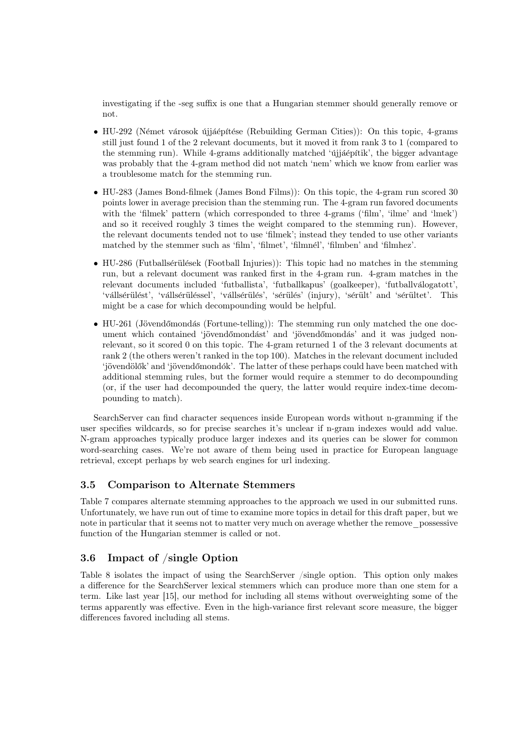investigating if the -seg suffix is one that a Hungarian stemmer should generally remove or not.

- HU-292 (Német városok újjáépítése (Rebuilding German Cities)): On this topic, 4-grams still just found 1 of the 2 relevant documents, but it moved it from rank 3 to 1 (compared to the stemming run). While 4-grams additionally matched 'újjáépítik', the bigger advantage was probably that the 4-gram method did not match 'nem' which we know from earlier was a troublesome match for the stemming run.
- HU-283 (James Bond-filmek (James Bond Films)): On this topic, the 4-gram run scored 30 points lower in average precision than the stemming run. The 4-gram run favored documents with the 'filmek' pattern (which corresponded to three 4-grams ('film', 'ilme' and 'lmek') and so it received roughly 3 times the weight compared to the stemming run). However, the relevant documents tended not to use 'filmek'; instead they tended to use other variants matched by the stemmer such as 'film', 'filmet', 'filmnél', 'filmben' and 'filmhez'.
- HU-286 (Futballsérülések (Football Injuries)): This topic had no matches in the stemming run, but a relevant document was ranked first in the 4-gram run. 4-gram matches in the relevant documents included 'futballista', 'futballkapus' (goalkeeper), 'futballválogatott', 'vállsérülést', 'vállsérüléssel', 'vállsérülés', 'sérülés' (injury), 'sérült' and 'sérültet'. This might be a case for which decompounding would be helpful.
- HU-261 (Jövendőmondás (Fortune-telling)): The stemming run only matched the one document which contained 'jövendőmondást' and 'jövendőmondás' and it was judged nonrelevant, so it scored 0 on this topic. The 4-gram returned 1 of the 3 relevant documents at rank 2 (the others weren't ranked in the top 100). Matches in the relevant document included 'jövendölők' and 'jövendőmondók'. The latter of these perhaps could have been matched with additional stemming rules, but the former would require a stemmer to do decompounding (or, if the user had decompounded the query, the latter would require index-time decompounding to match).

SearchServer can find character sequences inside European words without n-gramming if the user specifies wildcards, so for precise searches it's unclear if n-gram indexes would add value. N-gram approaches typically produce larger indexes and its queries can be slower for common word-searching cases. We're not aware of them being used in practice for European language retrieval, except perhaps by web search engines for url indexing.

### 3.5 Comparison to Alternate Stemmers

Table 7 compares alternate stemming approaches to the approach we used in our submitted runs. Unfortunately, we have run out of time to examine more topics in detail for this draft paper, but we note in particular that it seems not to matter very much on average whether the remove\_possessive function of the Hungarian stemmer is called or not.

### 3.6 Impact of /single Option

Table 8 isolates the impact of using the SearchServer /single option. This option only makes a difference for the SearchServer lexical stemmers which can produce more than one stem for a term. Like last year [15], our method for including all stems without overweighting some of the terms apparently was effective. Even in the high-variance first relevant score measure, the bigger differences favored including all stems.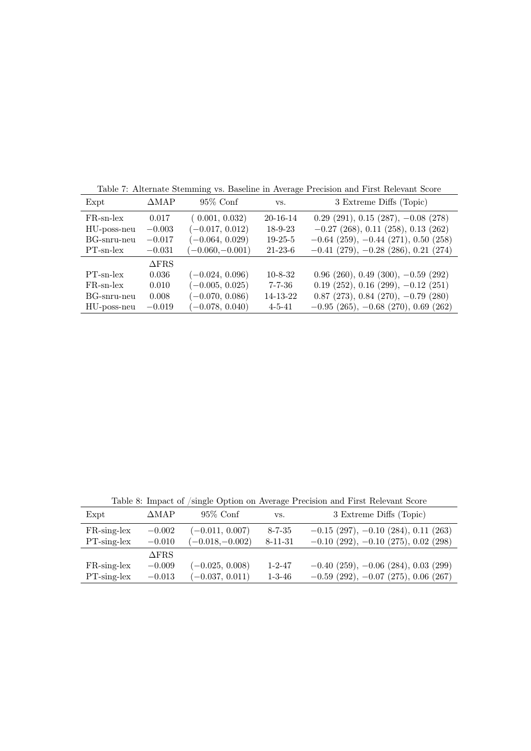| Table 7: Alternate Stemming vs. Baseline in Average Precision and First Relevant Score |  |  |
|----------------------------------------------------------------------------------------|--|--|
|                                                                                        |  |  |

| Expt         | $\triangle MAP$ | $95\%$ Conf       | VS.           | 3 Extreme Diffs (Topic)                   |
|--------------|-----------------|-------------------|---------------|-------------------------------------------|
| $FR$ -sn-lex | 0.017           | (0.001, 0.032)    | 20-16-14      | $0.29$ (291), $0.15$ (287), $-0.08$ (278) |
| HU-poss-neu  | $-0.003$        | $(-0.017, 0.012)$ | $18-9-23$     | $-0.27$ (268), 0.11 (258), 0.13 (262)     |
| BG-snru-neu  | $-0.017$        | $(-0.064, 0.029)$ | $19-25-5$     | $-0.64$ (259), $-0.44$ (271), 0.50 (258)  |
| $PT$ -sn-lex | $-0.031$        | $(-0.060,-0.001)$ | $21 - 23 - 6$ | $-0.41$ (279), $-0.28$ (286), 0.21 (274)  |
|              | $\triangle$ FRS |                   |               |                                           |
| $PT$ -sn-lex | 0.036           | $(-0.024, 0.096)$ | $10 - 8 - 32$ | $0.96$ (260), $0.49$ (300), $-0.59$ (292) |
| $FR$ -sn-lex | 0.010           | $(-0.005, 0.025)$ | $7 - 7 - 36$  | $0.19$ (252), $0.16$ (299), $-0.12$ (251) |
| BG-snru-neu  | 0.008           | $(-0.070, 0.086)$ | 14-13-22      | $0.87$ (273), 0.84 (270), $-0.79$ (280)   |
| HU-poss-neu  | $-0.019$        | $(-0.078, 0.040)$ | $4 - 5 - 41$  | $-0.95$ (265), $-0.68$ (270), 0.69 (262)  |

Table 8: Impact of /single Option on Average Precision and First Relevant Score

| Expt           | ΔМАР         | $95\%$ Conf       | VS.           | 3 Extreme Diffs (Topic)                  |
|----------------|--------------|-------------------|---------------|------------------------------------------|
| FR-sing-lex    | $-0.002$     | $(-0.011, 0.007)$ | $8 - 7 - 35$  | $-0.15$ (297), $-0.10$ (284), 0.11 (263) |
| $PT$ -sing-lex | $-0.010$     | $(-0.018,-0.002)$ | $8 - 11 - 31$ | $-0.10$ (292), $-0.10$ (275), 0.02 (298) |
|                | $\Delta$ FRS |                   |               |                                          |
| FR-sing-lex    | $-0.009$     | $(-0.025, 0.008)$ | $1 - 2 - 47$  | $-0.40$ (259), $-0.06$ (284), 0.03 (299) |
| $PT$ -sing-lex | $-0.013$     | $(-0.037, 0.011)$ | $1 - 3 - 46$  | $-0.59$ (292), $-0.07$ (275), 0.06 (267) |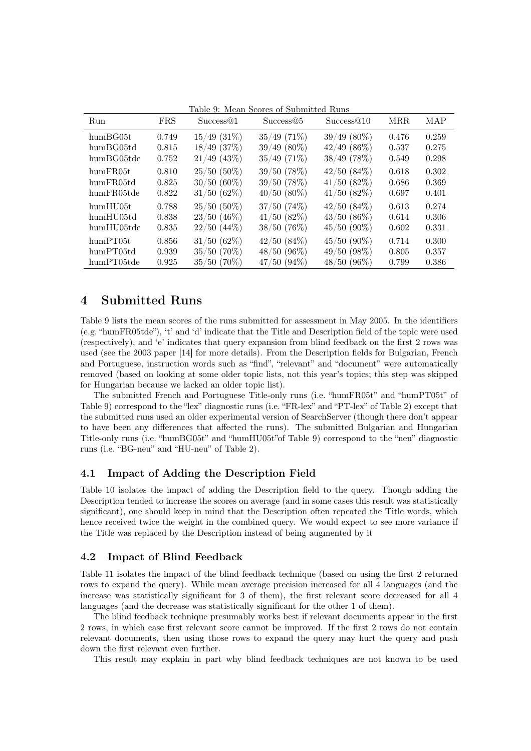| Run               | <b>FRS</b> | Success@1        | Success@5     | Success@10     | MRR.  | MAP   |
|-------------------|------------|------------------|---------------|----------------|-------|-------|
| humBG05t          | 0.749      | $15/49$ $(31\%)$ | $35/49$ (71%) | $39/49(80\%)$  | 0.476 | 0.259 |
| humBG05td         | 0.815      | $18/49$ (37%)    | $39/49(80\%)$ | $42/49$ (86\%) | 0.537 | 0.275 |
| humBG05tde        | 0.752      | $21/49$ (43\%)   | $35/49$ (71%) | $38/49$ (78%)  | 0.549 | 0.298 |
| humFR05t          | 0.810      | $25/50(50\%)$    | $39/50$ (78%) | 42/50(84%)     | 0.618 | 0.302 |
| humFR05td         | 0.825      | $30/50(60\%)$    | 39/50(78%)    | $41/50$ (82%)  | 0.686 | 0.369 |
| humFR05tde        | 0.822      | $31/50(62\%)$    | $40/50(80\%)$ | 41/50(82%)     | 0.697 | 0.401 |
| $\text{humHU05t}$ | 0.788      | $25/50(50\%)$    | 37/50(74%)    | 42/50(84%)     | 0.613 | 0.274 |
| humHU05td         | 0.838      | $23/50$ (46%)    | 41/50(82%)    | $43/50(86\%)$  | 0.614 | 0.306 |
| humHU05tde        | 0.835      | $22/50$ (44\%)   | 38/50(76%)    | $45/50(90\%)$  | 0.602 | 0.331 |
| humPT05t          | 0.856      | $31/50(62\%)$    | 42/50(84%)    | $45/50(90\%)$  | 0.714 | 0.300 |
| humPT05td         | 0.939      | $35/50(70\%)$    | $48/50(96\%)$ | 49/50(98%)     | 0.805 | 0.357 |
| humPT05tde        | 0.925      | $35/50(70\%)$    | $47/50(94\%)$ | $48/50(96\%)$  | 0.799 | 0.386 |

Table 9: Mean Scores of Submitted Runs

# 4 Submitted Runs

Table 9 lists the mean scores of the runs submitted for assessment in May 2005. In the identifiers (e.g. "humFR05tde"), 't' and 'd' indicate that the Title and Description field of the topic were used (respectively), and 'e' indicates that query expansion from blind feedback on the first 2 rows was used (see the 2003 paper [14] for more details). From the Description fields for Bulgarian, French and Portuguese, instruction words such as "find", "relevant" and "document" were automatically removed (based on looking at some older topic lists, not this year's topics; this step was skipped for Hungarian because we lacked an older topic list).

The submitted French and Portuguese Title-only runs (i.e. "humFR05t" and "humPT05t" of Table 9) correspond to the "lex" diagnostic runs (i.e. "FR-lex" and "PT-lex" of Table 2) except that the submitted runs used an older experimental version of SearchServer (though there don't appear to have been any differences that affected the runs). The submitted Bulgarian and Hungarian Title-only runs (i.e. "humBG05t" and "humHU05t"of Table 9) correspond to the "neu" diagnostic runs (i.e. "BG-neu" and "HU-neu" of Table 2).

### 4.1 Impact of Adding the Description Field

Table 10 isolates the impact of adding the Description field to the query. Though adding the Description tended to increase the scores on average (and in some cases this result was statistically significant), one should keep in mind that the Description often repeated the Title words, which hence received twice the weight in the combined query. We would expect to see more variance if the Title was replaced by the Description instead of being augmented by it

#### 4.2 Impact of Blind Feedback

Table 11 isolates the impact of the blind feedback technique (based on using the first 2 returned rows to expand the query). While mean average precision increased for all 4 languages (and the increase was statistically significant for 3 of them), the first relevant score decreased for all 4 languages (and the decrease was statistically significant for the other 1 of them).

The blind feedback technique presumably works best if relevant documents appear in the first 2 rows, in which case first relevant score cannot be improved. If the first 2 rows do not contain relevant documents, then using those rows to expand the query may hurt the query and push down the first relevant even further.

This result may explain in part why blind feedback techniques are not known to be used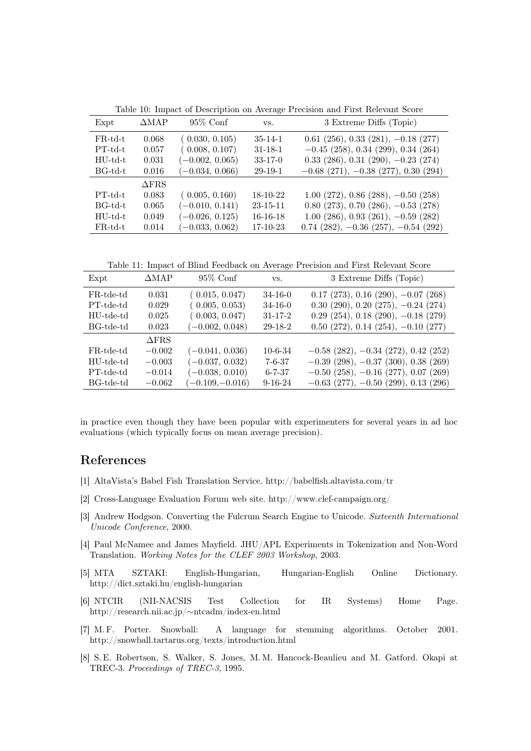| Expt       | $\triangle MAP$ | $95\%$ Conf       | VS.            | 3 Extreme Diffs (Topic)                    |
|------------|-----------------|-------------------|----------------|--------------------------------------------|
| $FR$ -td-t | 0.068           | (0.030, 0.105)    | $35 - 14 - 1$  | $0.61$ (256), 0.33 (281), $-0.18$ (277)    |
| $PT-td-t$  | 0.057           | (0.008, 0.107)    | $31 - 18 - 1$  | $-0.45$ (258), 0.34 (299), 0.34 (264)      |
| $HU$ -td-t | 0.031           | $(-0.002, 0.065)$ | $33-17-0$      | $0.33$ (286), $0.31$ (290), $-0.23$ (274)  |
| BG-td-t    | 0.016           | $(-0.034, 0.066)$ | $29-19-1$      | $-0.68$ (271), $-0.38$ (277), 0.30 (294)   |
|            | $\Delta$ FRS    |                   |                |                                            |
| $PT-td-t$  | 0.083           | (0.005, 0.160)    | 18-10-22       | $1.00$ (272), 0.86 (288), $-0.50$ (258)    |
| BG-td-t    | 0.065           | $(-0.010, 0.141)$ | $23 - 15 - 11$ | $0.80$ (273), 0.70 (286), $-0.53$ (278)    |
| $HU$ -td-t | 0.049           | $(-0.026, 0.125)$ | $16-16-18$     | $1.00$ (286), 0.93 (261), $-0.59$ (282)    |
| $FR$ -td-t | 0.014           | $(-0.033, 0.062)$ | 17-10-23       | $0.74$ (282), $-0.36$ (257), $-0.54$ (292) |

Table 10: Impact of Description on Average Precision and First Relevant Score

Table 11: Impact of Blind Feedback on Average Precision and First Relevant Score

| Expt      | $\triangle MAP$ | $95\%$ Conf       | VS.           | 3 Extreme Diffs (Topic)                   |
|-----------|-----------------|-------------------|---------------|-------------------------------------------|
| FR-tde-td | 0.031           | (0.015, 0.047)    | $34 - 16 - 0$ | $0.17$ (273), $0.16$ (290), $-0.07$ (268) |
| PT-tde-td | 0.029           | (0.005, 0.053)    | $34 - 16 - 0$ | $0.30$ (290), $0.20$ (275), $-0.24$ (274) |
| HU-tde-td | 0.025           | (0.003, 0.047)    | $31 - 17 - 2$ | $0.29$ (254), $0.18$ (290), $-0.18$ (279) |
| BG-tde-td | 0.023           | $(-0.002, 0.048)$ | 29-18-2       | $0.50$ (272), $0.14$ (254), $-0.10$ (277) |
|           | $\Delta$ FRS    |                   |               |                                           |
| FR-tde-td | $-0.002$        | $(-0.041, 0.036)$ | $10-6-34$     | $-0.58$ (282), $-0.34$ (272), 0.42 (252)  |
| HU-tde-td | $-0.003$        | $(-0.037, 0.032)$ | $7 - 6 - 37$  | $-0.39$ (298), $-0.37$ (300), 0.38 (269)  |
| PT-tde-td | $-0.014$        | $(-0.038, 0.010)$ | $6 - 7 - 37$  | $-0.50$ (258), $-0.16$ (277), 0.07 (269)  |
| BG-tde-td | $-0.062$        | $(-0.109,-0.016)$ | $9 - 16 - 24$ | $-0.63$ (277), $-0.50$ (299), 0.13 (296)  |

in practice even though they have been popular with experimenters for several years in ad hoc evaluations (which typically focus on mean average precision).

### References

- [1] AltaVista's Babel Fish Translation Service. http://babelfish.altavista.com/tr
- [2] Cross-Language Evaluation Forum web site. http://www.clef-campaign.org/
- [3] Andrew Hodgson. Converting the Fulcrum Search Engine to Unicode. Sixteenth International Unicode Conference, 2000.
- [4] Paul McNamee and James Mayfield. JHU/APL Experiments in Tokenization and Non-Word Translation. Working Notes for the CLEF 2003 Workshop, 2003.
- [5] MTA SZTAKI: English-Hungarian, Hungarian-English Online Dictionary. http://dict.sztaki.hu/english-hungarian
- [6] NTCIR (NII-NACSIS Test Collection for IR Systems) Home Page. http://research.nii.ac.jp/∼ntcadm/index-en.html
- [7] M. F. Porter. Snowball: A language for stemming algorithms. October 2001. http://snowball.tartarus.org/texts/introduction.html
- [8] S. E. Robertson, S. Walker, S. Jones, M. M. Hancock-Beaulieu and M. Gatford. Okapi at TREC-3. Proceedings of TREC-3, 1995.